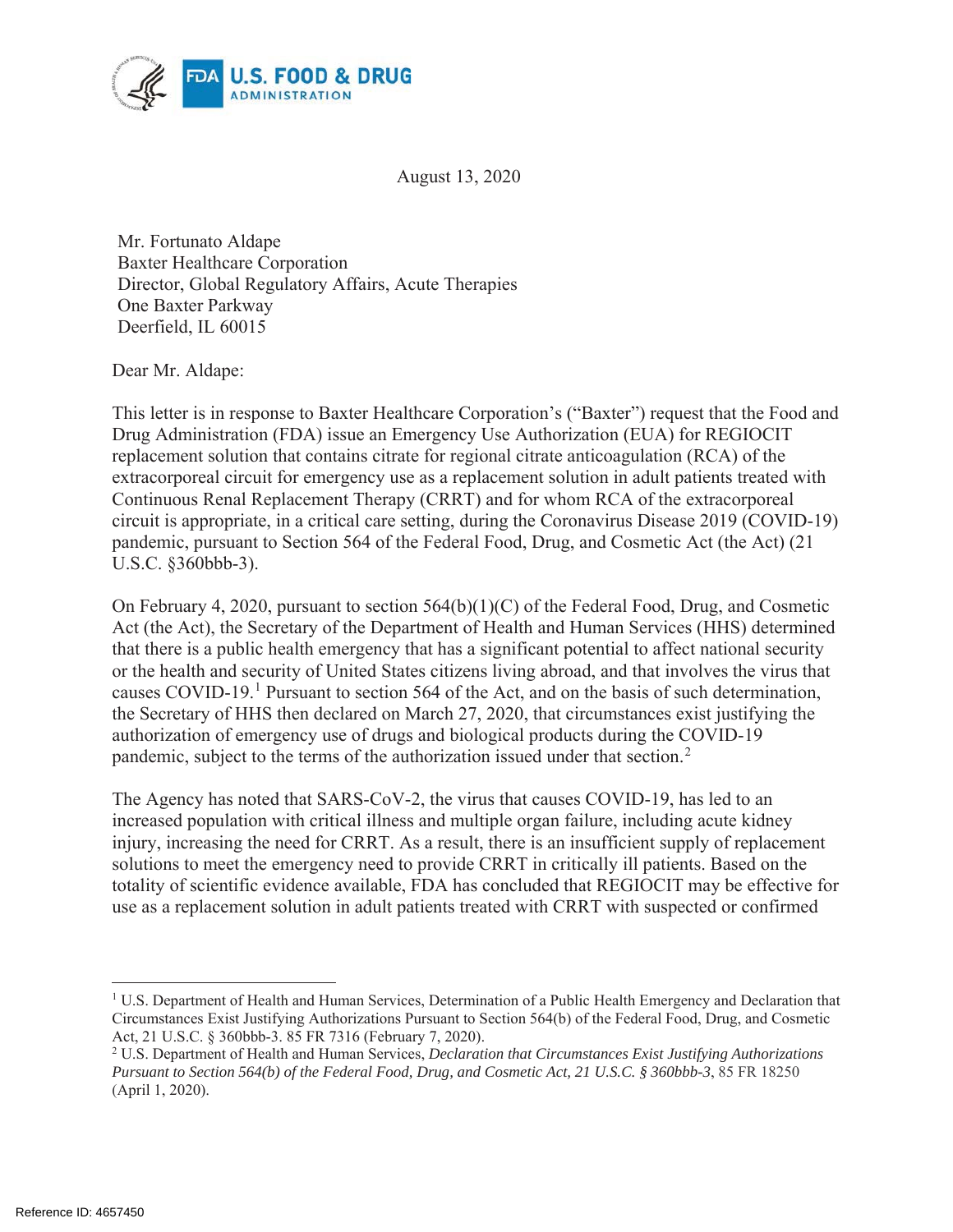

August 13, 2020

Mr. Fortunato Aldape Baxter Healthcare Corporation Director, Global Regulatory Affairs, Acute Therapies One Baxter Parkway Deerfield, IL 60015

Dear Mr. Aldape:

This letter is in response to Baxter Healthcare Corporation's ("Baxter") request that the Food and Drug Administration (FDA) issue an Emergency Use Authorization (EUA) for REGIOCIT replacement solution that contains citrate for regional citrate anticoagulation (RCA) of the extracorporeal circuit for emergency use as a replacement solution in adult patients treated with Continuous Renal Replacement Therapy (CRRT) and for whom RCA of the extracorporeal circuit is appropriate, in a critical care setting, during the Coronavirus Disease 2019 (COVID-19) pandemic, pursuant to Section 564 of the Federal Food, Drug, and Cosmetic Act (the Act) (21 U.S.C. §360bbb-3).

On February 4, 2020, pursuant to section 564(b)(1)(C) of the Federal Food, Drug, and Cosmetic Act (the Act), the Secretary of the Department of Health and Human Services (HHS) determined that there is a public health emergency that has a significant potential to affect national security or the health and security of United States citizens living abroad, and that involves the virus that causes COVID-19.<sup>1</sup> Pursuant to section 564 of the Act, and on the basis of such determination, the Secretary of HHS then declared on March 27, 2020, that circumstances exist justifying the authorization of emergency use of drugs and biological products during the COVID-19 pandemic, subject to the terms of the authorization issued under that section.<sup>2</sup>

The Agency has noted that SARS-CoV-2, the virus that causes COVID-19, has led to an increased population with critical illness and multiple organ failure, including acute kidney injury, increasing the need for CRRT. As a result, there is an insufficient supply of replacement solutions to meet the emergency need to provide CRRT in critically ill patients. Based on the totality of scientific evidence available, FDA has concluded that REGIOCIT may be effective for use as a replacement solution in adult patients treated with CRRT with suspected or confirmed

<sup>1</sup> U.S. Department of Health and Human Services, Determination of a Public Health Emergency and Declaration that Circumstances Exist Justifying Authorizations Pursuant to Section 564(b) of the Federal Food, Drug, and Cosmetic Act, 21 U.S.C. § 360bbb-3. 85 FR 7316 (February 7, 2020).

<sup>2</sup> U.S. Department of Health and Human Services, *Declaration that Circumstances Exist Justifying Authorizations Pursuant to Section 564(b) of the Federal Food, Drug, and Cosmetic Act, 21 U.S.C. § 360bbb-3*, 85 FR 18250 (April 1, 2020).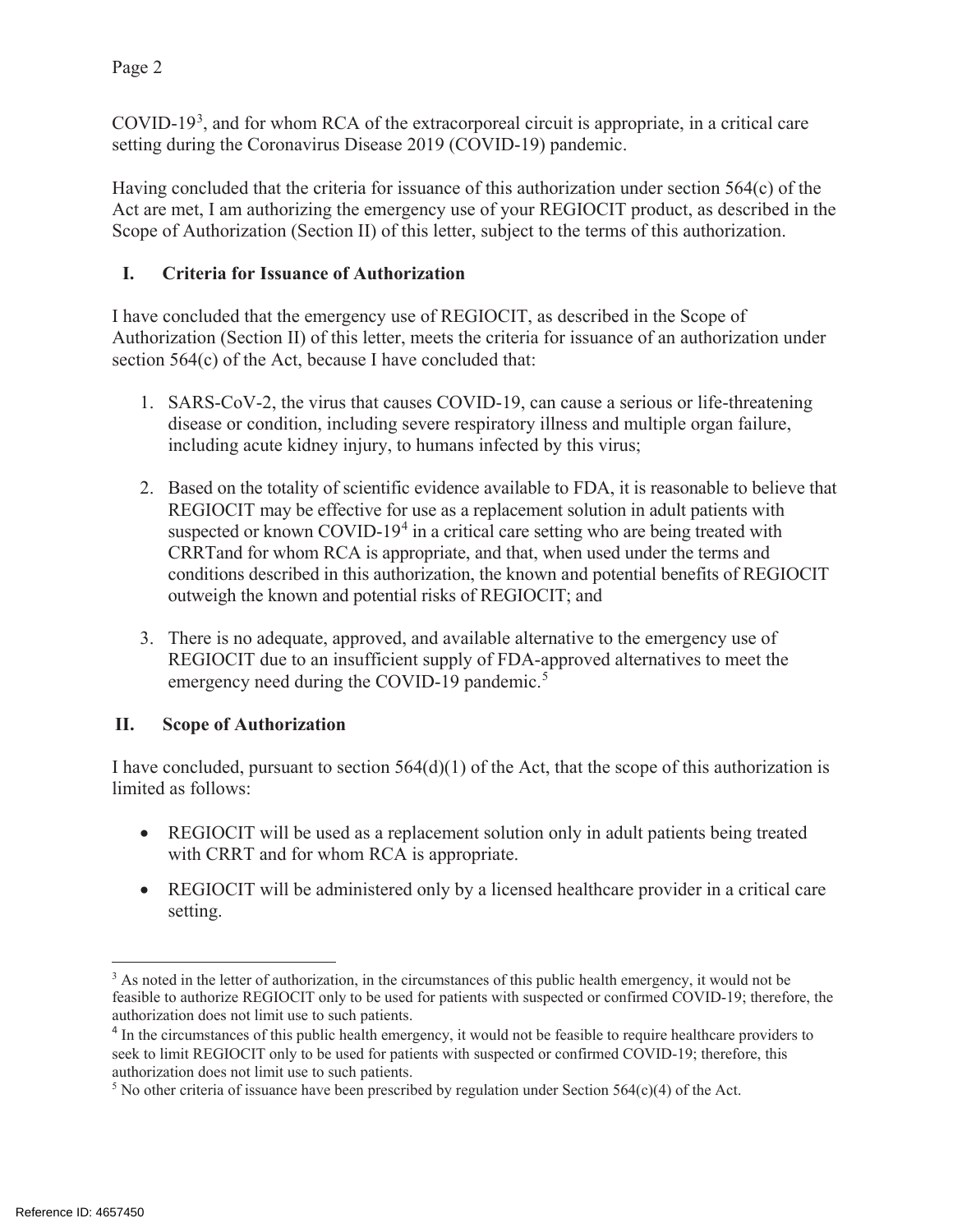Page 2

COVID-19<sup>3</sup>, and for whom RCA of the extracorporeal circuit is appropriate, in a critical care setting during the Coronavirus Disease 2019 (COVID-19) pandemic.

Having concluded that the criteria for issuance of this authorization under section 564(c) of the Act are met, I am authorizing the emergency use of your REGIOCIT product, as described in the Scope of Authorization (Section II) of this letter, subject to the terms of this authorization.

## **I. Criteria for Issuance of Authorization**

I have concluded that the emergency use of REGIOCIT, as described in the Scope of Authorization (Section II) of this letter, meets the criteria for issuance of an authorization under section 564(c) of the Act, because I have concluded that:

- 1. SARS-CoV-2, the virus that causes COVID-19, can cause a serious or life-threatening disease or condition, including severe respiratory illness and multiple organ failure, including acute kidney injury, to humans infected by this virus;
- 2. Based on the totality of scientific evidence available to FDA, it is reasonable to believe that REGIOCIT may be effective for use as a replacement solution in adult patients with suspected or known COVID-19<sup>4</sup> in a critical care setting who are being treated with CRRTand for whom RCA is appropriate, and that, when used under the terms and conditions described in this authorization, the known and potential benefits of REGIOCIT outweigh the known and potential risks of REGIOCIT; and
- 3. There is no adequate, approved, and available alternative to the emergency use of REGIOCIT due to an insufficient supply of FDA-approved alternatives to meet the emergency need during the COVID-19 pandemic.<sup>5</sup>

# **II. Scope of Authorization**

I have concluded, pursuant to section  $564(d)(1)$  of the Act, that the scope of this authorization is limited as follows:

- REGIOCIT will be used as a replacement solution only in adult patients being treated with CRRT and for whom RCA is appropriate.
- REGIOCIT will be administered only by a licensed healthcare provider in a critical care setting.

<sup>&</sup>lt;sup>3</sup> As noted in the letter of authorization, in the circumstances of this public health emergency, it would not be feasible to authorize REGIOCIT only to be used for patients with suspected or confirmed COVID-19; therefore, the authorization does not limit use to such patients.

<sup>&</sup>lt;sup>4</sup> In the circumstances of this public health emergency, it would not be feasible to require healthcare providers to seek to limit REGIOCIT only to be used for patients with suspected or confirmed COVID-19; therefore, this authorization does not limit use to such patients.

<sup>&</sup>lt;sup>5</sup> No other criteria of issuance have been prescribed by regulation under Section  $564(c)(4)$  of the Act.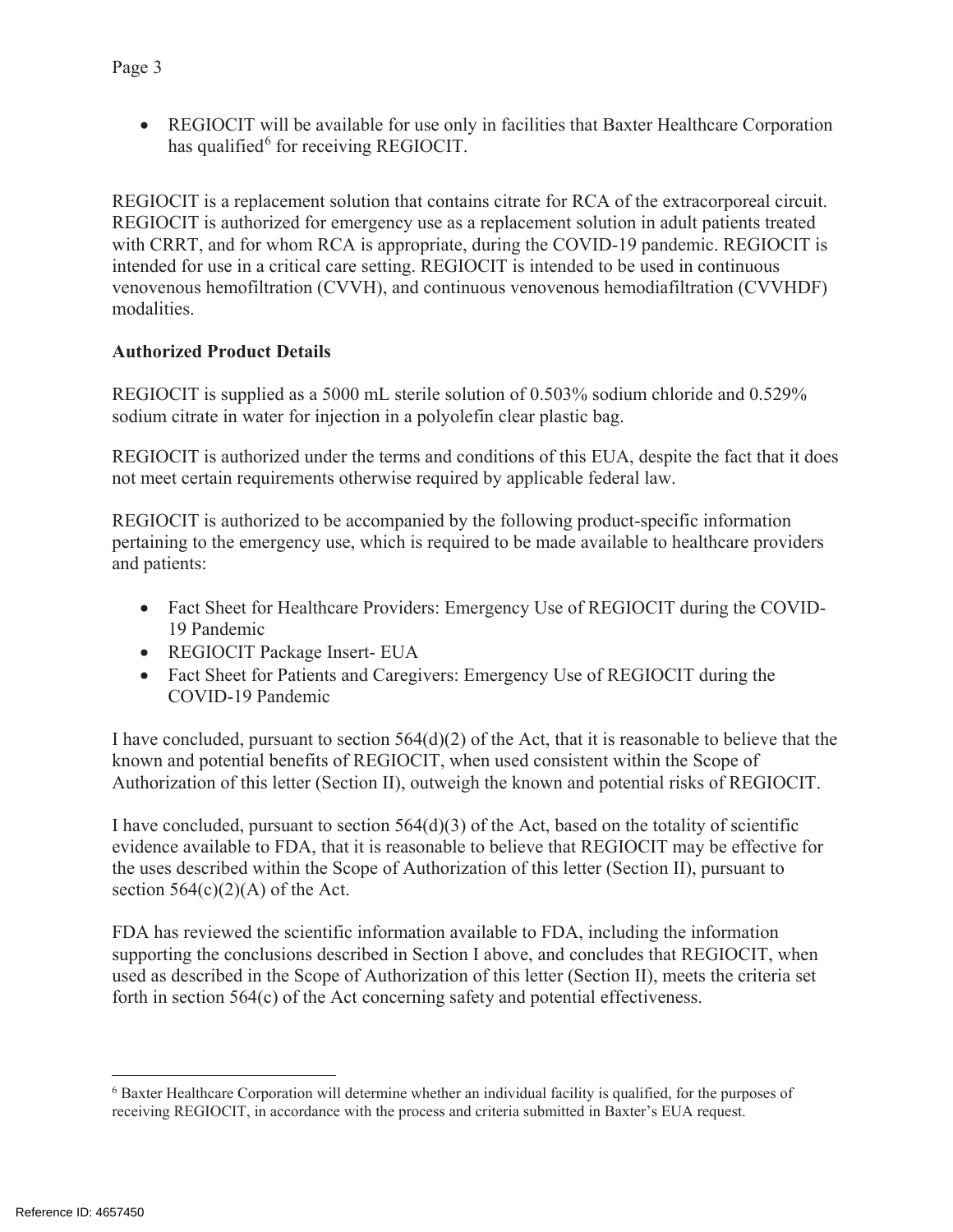• REGIOCIT will be available for use only in facilities that Baxter Healthcare Corporation has qualified $6$  for receiving REGIOCIT.

REGIOCIT is a replacement solution that contains citrate for RCA of the extracorporeal circuit. REGIOCIT is authorized for emergency use as a replacement solution in adult patients treated with CRRT, and for whom RCA is appropriate, during the COVID-19 pandemic. REGIOCIT is intended for use in a critical care setting. REGIOCIT is intended to be used in continuous venovenous hemofiltration (CVVH), and continuous venovenous hemodiafiltration (CVVHDF) modalities.

#### **Authorized Product Details**

REGIOCIT is supplied as a 5000 mL sterile solution of 0.503% sodium chloride and 0.529% sodium citrate in water for injection in a polyolefin clear plastic bag.

REGIOCIT is authorized under the terms and conditions of this EUA, despite the fact that it does not meet certain requirements otherwise required by applicable federal law.

REGIOCIT is authorized to be accompanied by the following product-specific information pertaining to the emergency use, which is required to be made available to healthcare providers and patients:

- Fact Sheet for Healthcare Providers: Emergency Use of REGIOCIT during the COVID-19 Pandemic
- REGIOCIT Package Insert- EUA
- Fact Sheet for Patients and Caregivers: Emergency Use of REGIOCIT during the COVID-19 Pandemic

I have concluded, pursuant to section  $564(d)(2)$  of the Act, that it is reasonable to believe that the known and potential benefits of REGIOCIT, when used consistent within the Scope of Authorization of this letter (Section II), outweigh the known and potential risks of REGIOCIT.

I have concluded, pursuant to section  $564(d)(3)$  of the Act, based on the totality of scientific evidence available to FDA, that it is reasonable to believe that REGIOCIT may be effective for the uses described within the Scope of Authorization of this letter (Section II), pursuant to section  $564(c)(2)(A)$  of the Act.

FDA has reviewed the scientific information available to FDA, including the information supporting the conclusions described in Section I above, and concludes that REGIOCIT, when used as described in the Scope of Authorization of this letter (Section II), meets the criteria set forth in section 564(c) of the Act concerning safety and potential effectiveness.

<sup>6</sup> Baxter Healthcare Corporation will determine whether an individual facility is qualified, for the purposes of receiving REGIOCIT, in accordance with the process and criteria submitted in Baxter's EUA request.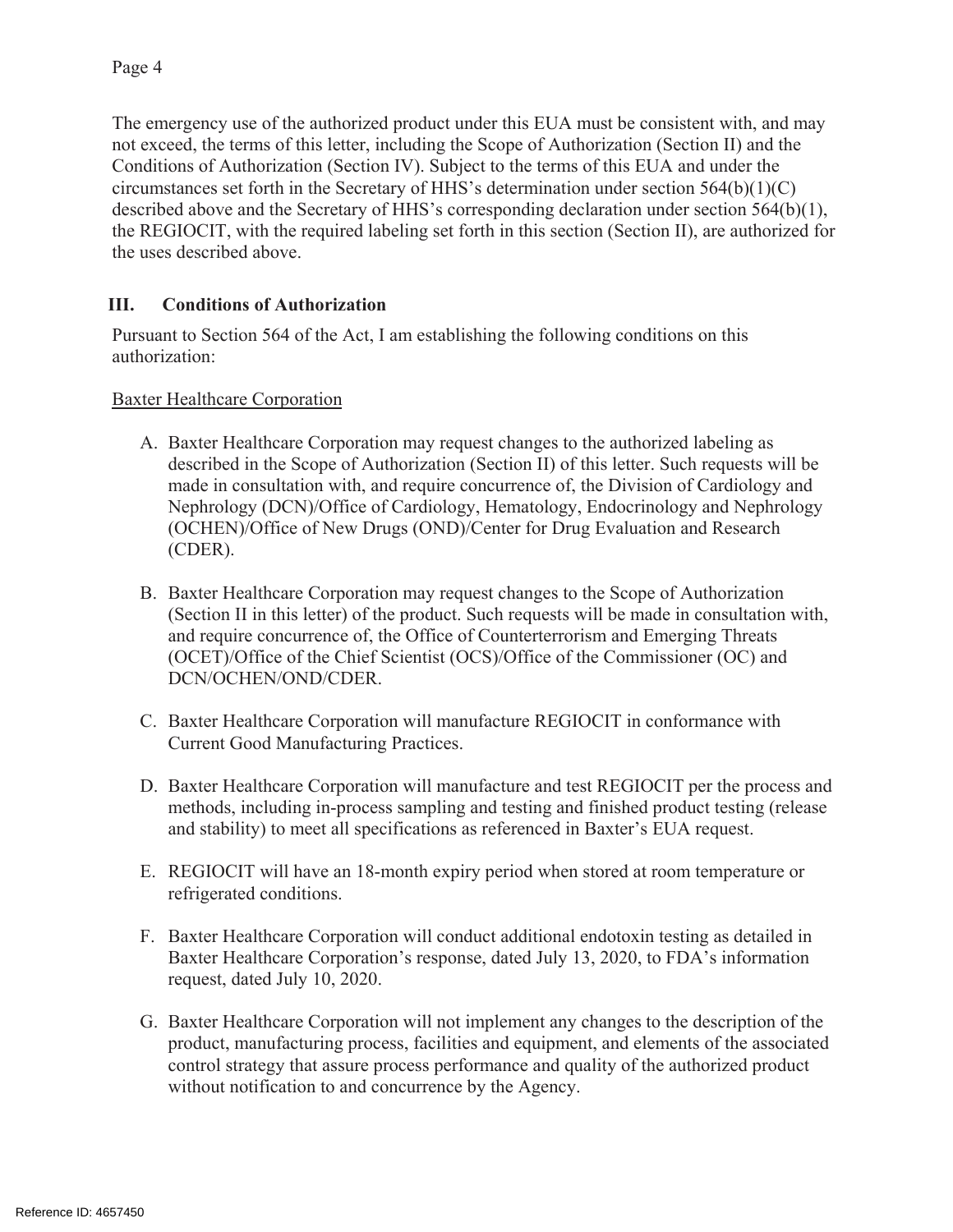The emergency use of the authorized product under this EUA must be consistent with, and may not exceed, the terms of this letter, including the Scope of Authorization (Section II) and the Conditions of Authorization (Section IV). Subject to the terms of this EUA and under the circumstances set forth in the Secretary of HHS's determination under section 564(b)(1)(C) described above and the Secretary of HHS's corresponding declaration under section 564(b)(1), the REGIOCIT, with the required labeling set forth in this section (Section II), are authorized for the uses described above.

## **III. Conditions of Authorization**

Pursuant to Section 564 of the Act, I am establishing the following conditions on this authorization:

Baxter Healthcare Corporation

- A. Baxter Healthcare Corporation may request changes to the authorized labeling as described in the Scope of Authorization (Section II) of this letter. Such requests will be made in consultation with, and require concurrence of, the Division of Cardiology and Nephrology (DCN)/Office of Cardiology, Hematology, Endocrinology and Nephrology (OCHEN)/Office of New Drugs (OND)/Center for Drug Evaluation and Research (CDER).
- B. Baxter Healthcare Corporation may request changes to the Scope of Authorization (Section II in this letter) of the product. Such requests will be made in consultation with, and require concurrence of, the Office of Counterterrorism and Emerging Threats (OCET)/Office of the Chief Scientist (OCS)/Office of the Commissioner (OC) and DCN/OCHEN/OND/CDER.
- C. Baxter Healthcare Corporation will manufacture REGIOCIT in conformance with Current Good Manufacturing Practices.
- D. Baxter Healthcare Corporation will manufacture and test REGIOCIT per the process and methods, including in-process sampling and testing and finished product testing (release and stability) to meet all specifications as referenced in Baxter's EUA request.
- E. REGIOCIT will have an 18-month expiry period when stored at room temperature or refrigerated conditions.
- F. Baxter Healthcare Corporation will conduct additional endotoxin testing as detailed in Baxter Healthcare Corporation's response, dated July 13, 2020, to FDA's information request, dated July 10, 2020.
- G. Baxter Healthcare Corporation will not implement any changes to the description of the product, manufacturing process, facilities and equipment, and elements of the associated control strategy that assure process performance and quality of the authorized product without notification to and concurrence by the Agency.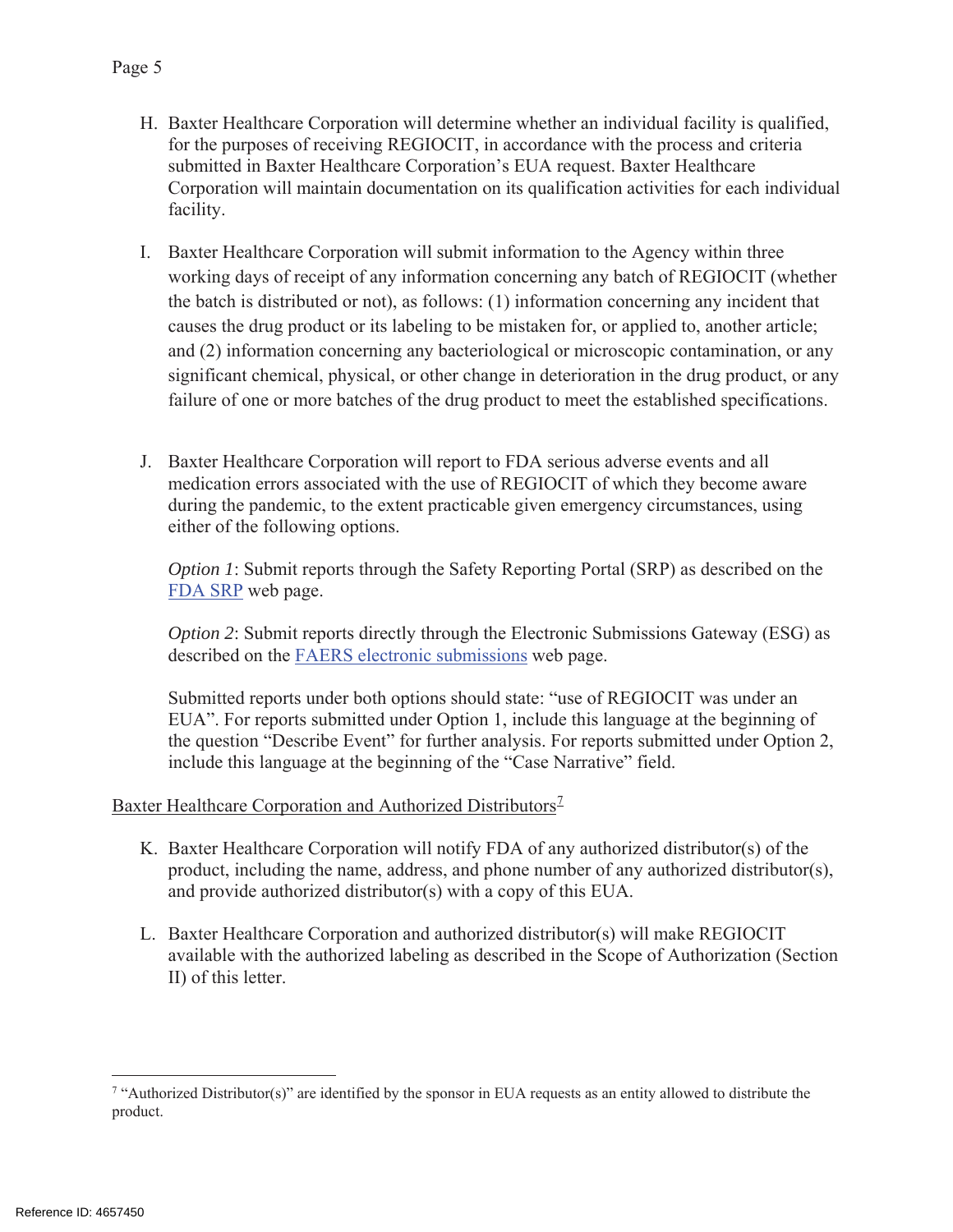- H. Baxter Healthcare Corporation will determine whether an individual facility is qualified, for the purposes of receiving REGIOCIT, in accordance with the process and criteria submitted in Baxter Healthcare Corporation's EUA request. Baxter Healthcare Corporation will maintain documentation on its qualification activities for each individual facility.
- I. Baxter Healthcare Corporation will submit information to the Agency within three working days of receipt of any information concerning any batch of REGIOCIT (whether the batch is distributed or not), as follows: (1) information concerning any incident that causes the drug product or its labeling to be mistaken for, or applied to, another article; and (2) information concerning any bacteriological or microscopic contamination, or any significant chemical, physical, or other change in deterioration in the drug product, or any failure of one or more batches of the drug product to meet the established specifications.
- J. Baxter Healthcare Corporation will report to FDA serious adverse events and all medication errors associated with the use of REGIOCIT of which they become aware during the pandemic, to the extent practicable given emergency circumstances, using either of the following options.

*Option 1*: Submit reports through the Safety Reporting Portal (SRP) as described on the FDA SRP web page.

*Option 2*: Submit reports directly through the Electronic Submissions Gateway (ESG) as described on the FAERS electronic submissions web page.

Submitted reports under both options should state: "use of REGIOCIT was under an EUA". For reports submitted under Option 1, include this language at the beginning of the question "Describe Event" for further analysis. For reports submitted under Option 2, include this language at the beginning of the "Case Narrative" field.

Baxter Healthcare Corporation and Authorized Distributors<sup>7</sup>

- K. Baxter Healthcare Corporation will notify FDA of any authorized distributor(s) of the product, including the name, address, and phone number of any authorized distributor(s), and provide authorized distributor(s) with a copy of this EUA.
- L. Baxter Healthcare Corporation and authorized distributor(s) will make REGIOCIT available with the authorized labeling as described in the Scope of Authorization (Section II) of this letter.

<sup>&</sup>lt;sup>7</sup> "Authorized Distributor(s)" are identified by the sponsor in EUA requests as an entity allowed to distribute the product.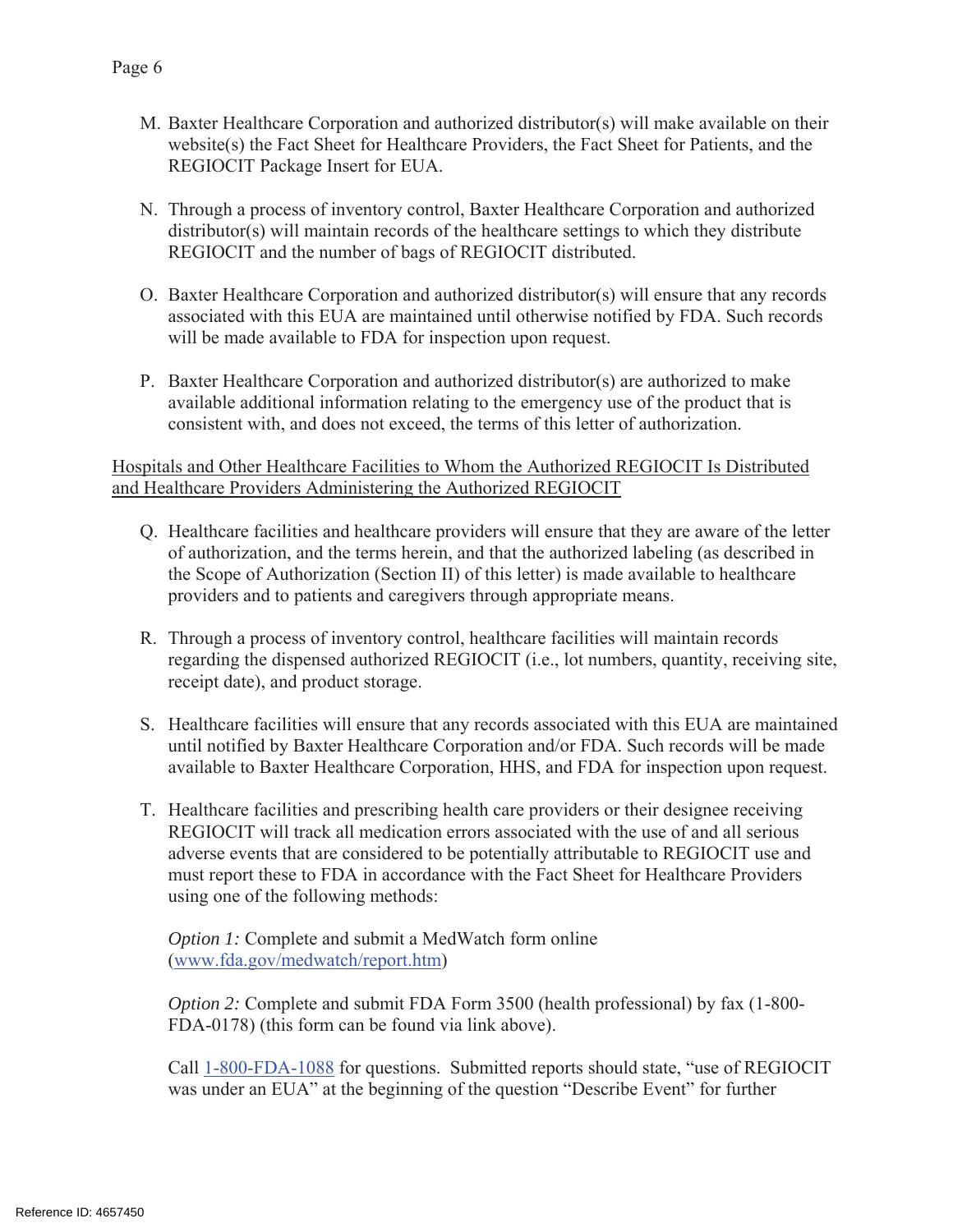- M. Baxter Healthcare Corporation and authorized distributor(s) will make available on their website(s) the Fact Sheet for Healthcare Providers, the Fact Sheet for Patients, and the REGIOCIT Package Insert for EUA.
- N. Through a process of inventory control, Baxter Healthcare Corporation and authorized distributor(s) will maintain records of the healthcare settings to which they distribute REGIOCIT and the number of bags of REGIOCIT distributed.
- O. Baxter Healthcare Corporation and authorized distributor(s) will ensure that any records associated with this EUA are maintained until otherwise notified by FDA. Such records will be made available to FDA for inspection upon request.
- P. Baxter Healthcare Corporation and authorized distributor(s) are authorized to make available additional information relating to the emergency use of the product that is consistent with, and does not exceed, the terms of this letter of authorization.

Hospitals and Other Healthcare Facilities to Whom the Authorized REGIOCIT Is Distributed and Healthcare Providers Administering the Authorized REGIOCIT

- Q. Healthcare facilities and healthcare providers will ensure that they are aware of the letter of authorization, and the terms herein, and that the authorized labeling (as described in the Scope of Authorization (Section II) of this letter) is made available to healthcare providers and to patients and caregivers through appropriate means.
- R. Through a process of inventory control, healthcare facilities will maintain records regarding the dispensed authorized REGIOCIT (i.e., lot numbers, quantity, receiving site, receipt date), and product storage.
- S. Healthcare facilities will ensure that any records associated with this EUA are maintained until notified by Baxter Healthcare Corporation and/or FDA. Such records will be made available to Baxter Healthcare Corporation, HHS, and FDA for inspection upon request.
- T. Healthcare facilities and prescribing health care providers or their designee receiving REGIOCIT will track all medication errors associated with the use of and all serious adverse events that are considered to be potentially attributable to REGIOCIT use and must report these to FDA in accordance with the Fact Sheet for Healthcare Providers using one of the following methods:

*Option 1: Complete and submit a MedWatch form online* (www.fda.gov/medwatch/report.htm)

*Option 2:* Complete and submit FDA Form 3500 (health professional) by fax (1-800- FDA-0178) (this form can be found via link above).

Call 1-800-FDA-1088 for questions. Submitted reports should state, "use of REGIOCIT was under an EUA" at the beginning of the question "Describe Event" for further